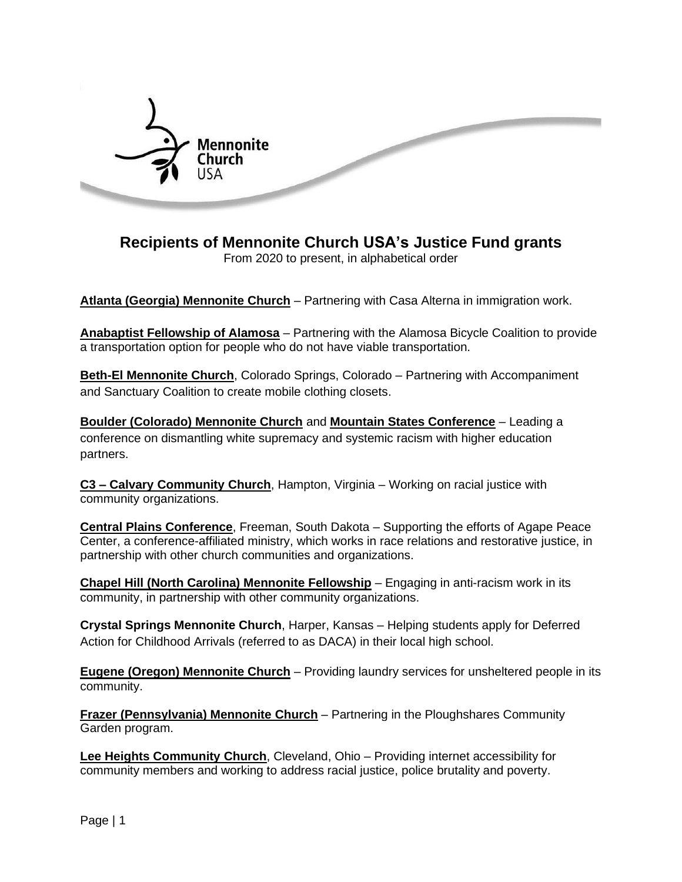

## **Recipients of Mennonite Church USA's Justice Fund grants**

From 2020 to present, in alphabetical order

**[Atlanta \(Georgia\) Mennonite Church](https://atlmenno.org/)** – Partnering with Casa Alterna in immigration work.

**[Anabaptist](https://www.facebook.com/Anabaptist-Fellowship-of-Alamosa-245065958858445/) Fellowship of Alamosa** – Partnering with the Alamosa Bicycle Coalition to provide a transportation option for people who do not have viable transportation.

**Beth-El [Mennonite](https://bethelmennonite.org/) Church**, Colorado Springs, Colorado – Partnering with Accompaniment and Sanctuary Coalition to create mobile clothing closets.

**[Boulder \(Colorado\) Mennonite Church](https://bouldermennonite.org/)** and **[Mountain States Conference](https://mountainstatesmc.org/)** – Leading a conference on dismantling white supremacy and systemic racism with higher education partners.

**C3 – Calvary [Community](https://www.c3hampton.org/) Church**, Hampton, Virginia – Working on racial justice with community organizations.

**Central Plains [Conference](http://www.centralplainsmc.org/)**, Freeman, South Dakota – Supporting the efforts of Agape Peace Center, a conference-affiliated ministry, which works in race relations and restorative justice, in partnership with other church communities and organizations.

**Chapel Hill (North Carolina) Mennonite [Fellowship](https://chapelhillmennonite.org/)** – Engaging in anti-racism work in its community, in partnership with other community organizations.

**Crystal Springs Mennonite Church**, Harper, Kansas – Helping students apply for Deferred Action for Childhood Arrivals (referred to as DACA) in their local high school.

**Eugene (Oregon) [Mennonite](https://www.eugenemennonite.com/) Church** – Providing laundry services for unsheltered people in its community.

**Frazer [\(Pennsylvania\)](http://www.frazermennonite.org/) Mennonite Church** – Partnering in the Ploughshares Community Garden program.

**Lee Heights [Community](https://leeheightscc.org/) Church**, Cleveland, Ohio – Providing internet accessibility for community members and working to address racial justice, police brutality and poverty.